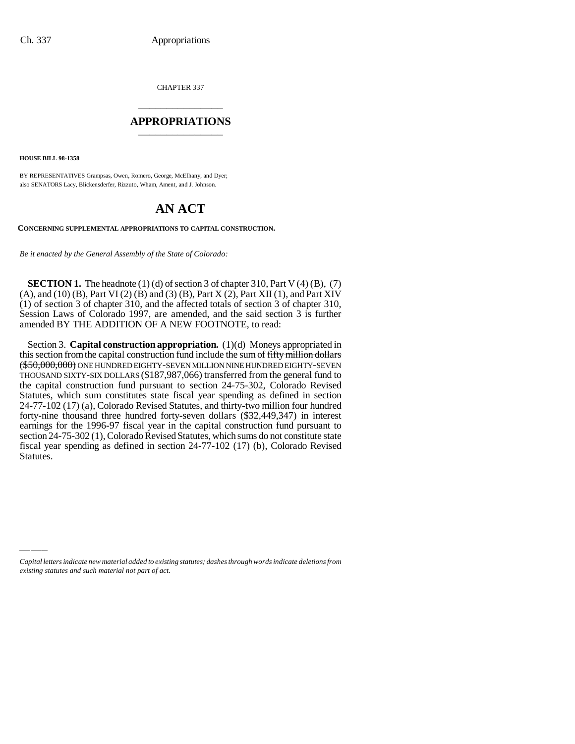CHAPTER 337 \_\_\_\_\_\_\_\_\_\_\_\_\_\_\_

#### **APPROPRIATIONS** \_\_\_\_\_\_\_\_\_\_\_\_\_\_\_

**HOUSE BILL 98-1358**

BY REPRESENTATIVES Grampsas, Owen, Romero, George, McElhany, and Dyer; also SENATORS Lacy, Blickensderfer, Rizzuto, Wham, Ament, and J. Johnson.

## **AN ACT**

#### **CONCERNING SUPPLEMENTAL APPROPRIATIONS TO CAPITAL CONSTRUCTION.**

*Be it enacted by the General Assembly of the State of Colorado:*

**SECTION 1.** The headnote  $(1)$  (d) of section 3 of chapter 310, Part V $(4)$  (B),  $(7)$ (A), and (10) (B), Part VI (2) (B) and (3) (B), Part X (2), Part XII (1), and Part XIV (1) of section 3 of chapter 310, and the affected totals of section 3 of chapter 310, Session Laws of Colorado 1997, are amended, and the said section 3 is further amended BY THE ADDITION OF A NEW FOOTNOTE, to read:

Section 3. **Capital construction appropriation.** (1)(d) Moneys appropriated in this section from the capital construction fund include the sum of fifty million dollars (\$50,000,000) ONE HUNDRED EIGHTY-SEVEN MILLION NINE HUNDRED EIGHTY-SEVEN THOUSAND SIXTY-SIX DOLLARS (\$187,987,066) transferred from the general fund to the capital construction fund pursuant to section 24-75-302, Colorado Revised Statutes, which sum constitutes state fiscal year spending as defined in section 24-77-102 (17) (a), Colorado Revised Statutes, and thirty-two million four hundred forty-nine thousand three hundred forty-seven dollars (\$32,449,347) in interest earnings for the 1996-97 fiscal year in the capital construction fund pursuant to section 24-75-302 (1), Colorado Revised Statutes, which sums do not constitute state fiscal year spending as defined in section 24-77-102 (17) (b), Colorado Revised Statutes.

*Capital letters indicate new material added to existing statutes; dashes through words indicate deletions from existing statutes and such material not part of act.*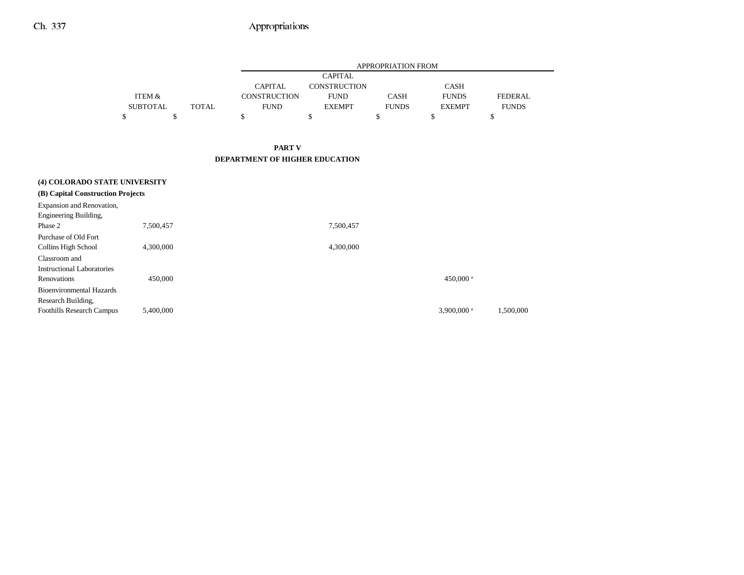|                 |              |                     |                | APPROPRIATION FROM |               |                |
|-----------------|--------------|---------------------|----------------|--------------------|---------------|----------------|
|                 |              |                     | <b>CAPITAL</b> |                    |               |                |
|                 |              | <b>CAPITAL</b>      | CONSTRUCTION   |                    | CASH          |                |
| ITEM &          |              | <b>CONSTRUCTION</b> | <b>FUND</b>    | <b>CASH</b>        | <b>FUNDS</b>  | <b>FEDERAL</b> |
| <b>SUBTOTAL</b> | <b>TOTAL</b> | <b>FUND</b>         | <b>EXEMPT</b>  | <b>FUNDS</b>       | <b>EXEMPT</b> | <b>FUNDS</b>   |
|                 |              |                     |                |                    |               |                |

### **PART V DEPARTMENT OF HIGHER EDUCATION**

| (4) COLORADO STATE UNIVERSITY     |           |                      |           |
|-----------------------------------|-----------|----------------------|-----------|
| (B) Capital Construction Projects |           |                      |           |
| Expansion and Renovation,         |           |                      |           |
| Engineering Building,             |           |                      |           |
| Phase 2                           | 7,500,457 | 7,500,457            |           |
| Purchase of Old Fort              |           |                      |           |
| Collins High School               | 4,300,000 | 4,300,000            |           |
| Classroom and                     |           |                      |           |
| Instructional Laboratories        |           |                      |           |
| Renovations                       | 450,000   | 450,000 <sup>a</sup> |           |
| Bioenvironmental Hazards          |           |                      |           |
| Research Building,                |           |                      |           |
| <b>Foothills Research Campus</b>  | 5,400,000 | 3,900,000 $a$        | 1.500.000 |
|                                   |           |                      |           |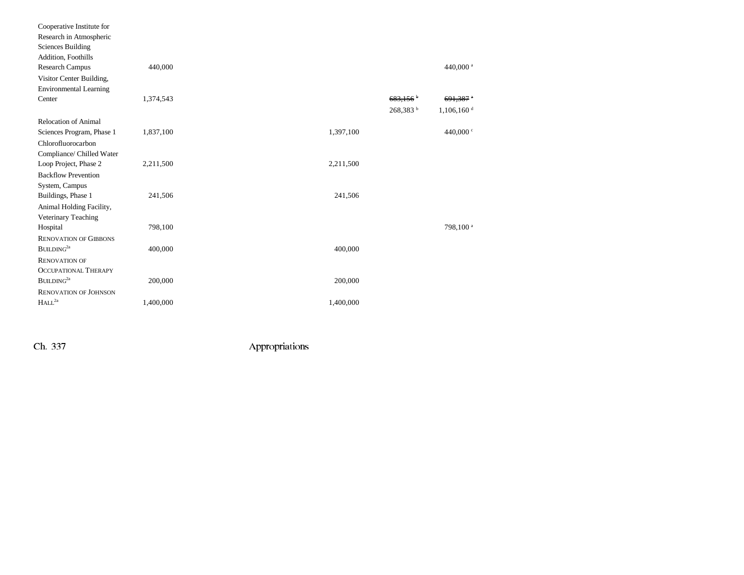| Cooperative Institute for     |           |           |                        |                          |  |
|-------------------------------|-----------|-----------|------------------------|--------------------------|--|
| Research in Atmospheric       |           |           |                        |                          |  |
| <b>Sciences Building</b>      |           |           |                        |                          |  |
| Addition, Foothills           |           |           |                        |                          |  |
| <b>Research Campus</b>        | 440,000   |           |                        | 440,000 <sup>a</sup>     |  |
| Visitor Center Building,      |           |           |                        |                          |  |
| <b>Environmental Learning</b> |           |           |                        |                          |  |
| Center                        | 1,374,543 |           | $683,156$ <sup>b</sup> | $691,387$ <sup>a</sup>   |  |
|                               |           |           | 268,383 <sup>b</sup>   | $1,106,160$ <sup>d</sup> |  |
| <b>Relocation of Animal</b>   |           |           |                        |                          |  |
| Sciences Program, Phase 1     | 1,837,100 | 1,397,100 |                        | 440,000 c                |  |
| Chlorofluorocarbon            |           |           |                        |                          |  |
| Compliance/ Chilled Water     |           |           |                        |                          |  |
| Loop Project, Phase 2         | 2,211,500 | 2,211,500 |                        |                          |  |
| <b>Backflow Prevention</b>    |           |           |                        |                          |  |
| System, Campus                |           |           |                        |                          |  |
| Buildings, Phase 1            | 241,506   | 241,506   |                        |                          |  |
| Animal Holding Facility,      |           |           |                        |                          |  |
| Veterinary Teaching           |           |           |                        |                          |  |
| Hospital                      | 798,100   |           |                        | 798,100 <sup>a</sup>     |  |
| <b>RENOVATION OF GIBBONS</b>  |           |           |                        |                          |  |
| BULDING <sup>2a</sup>         | 400,000   | 400,000   |                        |                          |  |
| <b>RENOVATION OF</b>          |           |           |                        |                          |  |
| <b>OCCUPATIONAL THERAPY</b>   |           |           |                        |                          |  |
| BULDING <sup>2a</sup>         | 200,000   | 200,000   |                        |                          |  |
| <b>RENOVATION OF JOHNSON</b>  |           |           |                        |                          |  |
| HALL <sup>2a</sup>            | 1,400,000 | 1,400,000 |                        |                          |  |
|                               |           |           |                        |                          |  |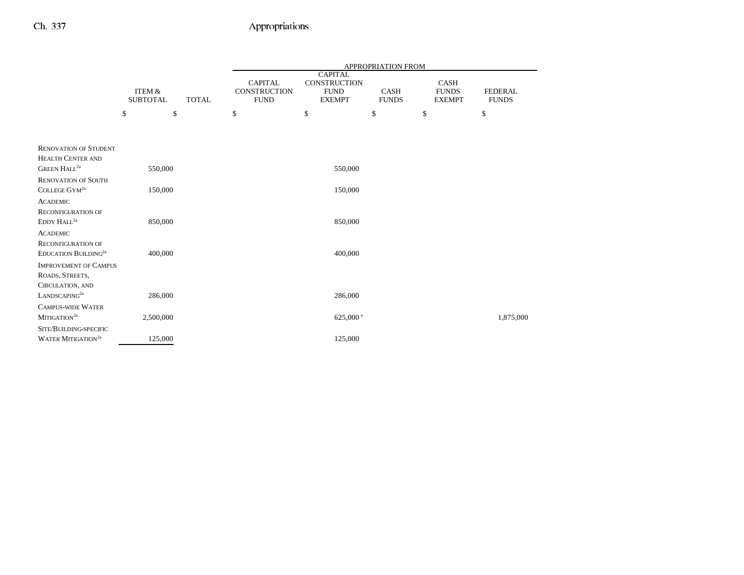|                                                            |                                      |              |                                               |                                                                       | <b>APPROPRIATION FROM</b>   |                                              |                                |
|------------------------------------------------------------|--------------------------------------|--------------|-----------------------------------------------|-----------------------------------------------------------------------|-----------------------------|----------------------------------------------|--------------------------------|
|                                                            | <b>ITEM &amp;</b><br><b>SUBTOTAL</b> | <b>TOTAL</b> | <b>CAPITAL</b><br>CONSTRUCTION<br><b>FUND</b> | <b>CAPITAL</b><br><b>CONSTRUCTION</b><br><b>FUND</b><br><b>EXEMPT</b> | <b>CASH</b><br><b>FUNDS</b> | <b>CASH</b><br><b>FUNDS</b><br><b>EXEMPT</b> | <b>FEDERAL</b><br><b>FUNDS</b> |
|                                                            | \$<br>\$                             |              | \$                                            | \$                                                                    | \$                          | \$                                           | \$                             |
|                                                            |                                      |              |                                               |                                                                       |                             |                                              |                                |
| <b>RENOVATION OF STUDENT</b>                               |                                      |              |                                               |                                                                       |                             |                                              |                                |
| <b>HEALTH CENTER AND</b><br><b>GREEN HALL<sup>2a</sup></b> | 550,000                              |              |                                               | 550,000                                                               |                             |                                              |                                |
| <b>RENOVATION OF SOUTH</b>                                 |                                      |              |                                               |                                                                       |                             |                                              |                                |
| COLLEGE GYM <sup>2a</sup>                                  | 150,000                              |              |                                               | 150,000                                                               |                             |                                              |                                |
| <b>ACADEMIC</b>                                            |                                      |              |                                               |                                                                       |                             |                                              |                                |
| <b>RECONFIGURATION OF</b>                                  |                                      |              |                                               |                                                                       |                             |                                              |                                |
| EDDY HALL <sup>2a</sup>                                    | 850,000                              |              |                                               | 850,000                                                               |                             |                                              |                                |
| <b>ACADEMIC</b>                                            |                                      |              |                                               |                                                                       |                             |                                              |                                |
| <b>RECONFIGURATION OF</b>                                  |                                      |              |                                               |                                                                       |                             |                                              |                                |
| EDUCATION BUILDING <sup>2a</sup>                           | 400,000                              |              |                                               | 400,000                                                               |                             |                                              |                                |
| <b>IMPROVEMENT OF CAMPUS</b><br>ROADS, STREETS,            |                                      |              |                                               |                                                                       |                             |                                              |                                |
| CIRCULATION, AND                                           |                                      |              |                                               |                                                                       |                             |                                              |                                |
| LANDSCAPING <sup>2a</sup>                                  | 286,000                              |              |                                               | 286,000                                                               |                             |                                              |                                |
| <b>CAMPUS-WIDE WATER</b>                                   |                                      |              |                                               |                                                                       |                             |                                              |                                |
| MITIGATION <sup>2a</sup>                                   | 2,500,000                            |              |                                               | 625,000 $^{\circ}$                                                    |                             |                                              | 1,875,000                      |
| SITE/BUILDING-SPECIFIC                                     |                                      |              |                                               |                                                                       |                             |                                              |                                |
| WATER MITIGATION <sup>2a</sup>                             | 125,000                              |              |                                               | 125,000                                                               |                             |                                              |                                |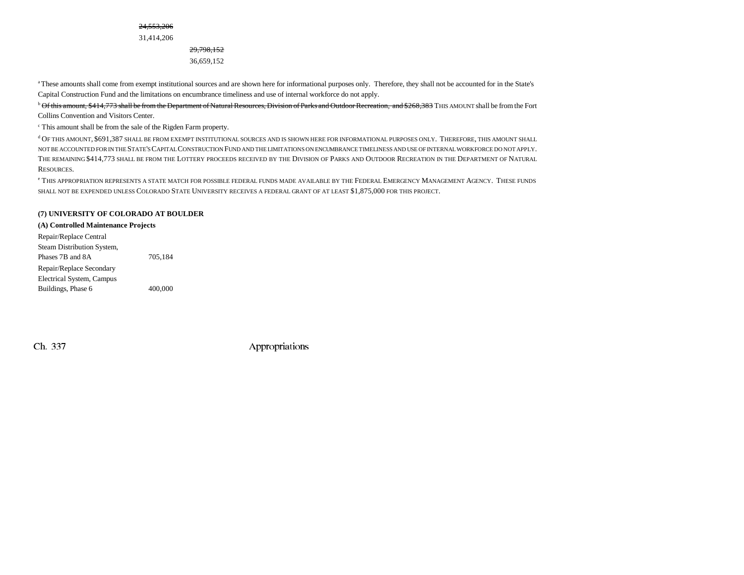24,553,206

31,414,206

29,798,152 36,659,152

a These amounts shall come from exempt institutional sources and are shown here for informational purposes only. Therefore, they shall not be accounted for in the State's Capital Construction Fund and the limitations on encumbrance timeliness and use of internal workforce do not apply.

<sup>b</sup> Of this amount, \$414,773 shall be from the Department of Natural Resources, Division of Parks and Outdoor Recreation, and \$268,383 THIS AMOUNT shall be from the Fort Collins Convention and Visitors Center.

c This amount shall be from the sale of the Rigden Farm property.

d OF THIS AMOUNT, \$691,387 SHALL BE FROM EXEMPT INSTITUTIONAL SOURCES AND IS SHOWN HERE FOR INFORMATIONAL PURPOSES ONLY. THEREFORE, THIS AMOUNT SHALL NOT BE ACCOUNTED FOR IN THE STATE'S CAPITAL CONSTRUCTION FUND AND THE LIMITATIONS ON ENCUMBRANCE TIMELINESS AND USE OF INTERNAL WORKFORCE DO NOT APPLY. THE REMAINING \$414,773 SHALL BE FROM THE LOTTERY PROCEEDS RECEIVED BY THE DIVISION OF PARKS AND OUTDOOR RECREATION IN THE DEPARTMENT OF NATURAL RESOURCES.

<sup>e</sup> This appropriation represents a state match for possible federal funds made available by the Federal Emergency Management Agency. These funds SHALL NOT BE EXPENDED UNLESS COLORADO STATE UNIVERSITY RECEIVES A FEDERAL GRANT OF AT LEAST \$1,875,000 FOR THIS PROJECT.

#### **(7) UNIVERSITY OF COLORADO AT BOULDER**

#### **(A) Controlled Maintenance Projects**

| Repair/Replace Central     |         |
|----------------------------|---------|
| Steam Distribution System, |         |
| Phases 7B and 8A           | 705.184 |
| Repair/Replace Secondary   |         |
| Electrical System, Campus  |         |
| Buildings, Phase 6         | 400,000 |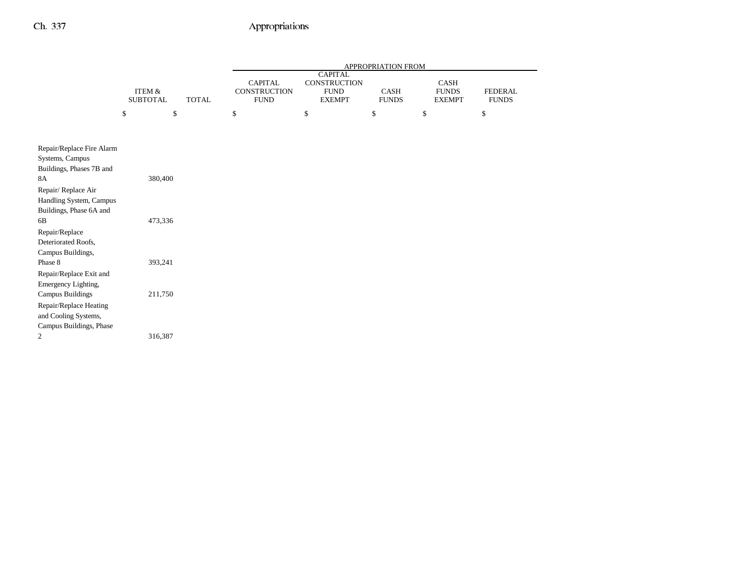|                                                                           |                                      |              |                                                      |                                                                       | APPROPRIATION FROM          |                                       |                                |
|---------------------------------------------------------------------------|--------------------------------------|--------------|------------------------------------------------------|-----------------------------------------------------------------------|-----------------------------|---------------------------------------|--------------------------------|
|                                                                           | <b>ITEM &amp;</b><br><b>SUBTOTAL</b> | <b>TOTAL</b> | <b>CAPITAL</b><br><b>CONSTRUCTION</b><br><b>FUND</b> | <b>CAPITAL</b><br><b>CONSTRUCTION</b><br><b>FUND</b><br><b>EXEMPT</b> | <b>CASH</b><br><b>FUNDS</b> | CASH<br><b>FUNDS</b><br><b>EXEMPT</b> | <b>FEDERAL</b><br><b>FUNDS</b> |
|                                                                           | \$<br>\$                             |              | \$                                                   | \$                                                                    | \$                          | \$                                    | \$                             |
|                                                                           |                                      |              |                                                      |                                                                       |                             |                                       |                                |
| Repair/Replace Fire Alarm<br>Systems, Campus<br>Buildings, Phases 7B and  |                                      |              |                                                      |                                                                       |                             |                                       |                                |
| <b>8A</b>                                                                 | 380,400                              |              |                                                      |                                                                       |                             |                                       |                                |
| Repair/Replace Air<br>Handling System, Campus<br>Buildings, Phase 6A and  |                                      |              |                                                      |                                                                       |                             |                                       |                                |
| 6B                                                                        | 473,336                              |              |                                                      |                                                                       |                             |                                       |                                |
| Repair/Replace<br>Deteriorated Roofs,<br>Campus Buildings,                |                                      |              |                                                      |                                                                       |                             |                                       |                                |
| Phase 8<br>Repair/Replace Exit and                                        | 393,241                              |              |                                                      |                                                                       |                             |                                       |                                |
| Emergency Lighting,<br><b>Campus Buildings</b>                            | 211,750                              |              |                                                      |                                                                       |                             |                                       |                                |
| Repair/Replace Heating<br>and Cooling Systems,<br>Campus Buildings, Phase |                                      |              |                                                      |                                                                       |                             |                                       |                                |
| $\overline{c}$                                                            | 316,387                              |              |                                                      |                                                                       |                             |                                       |                                |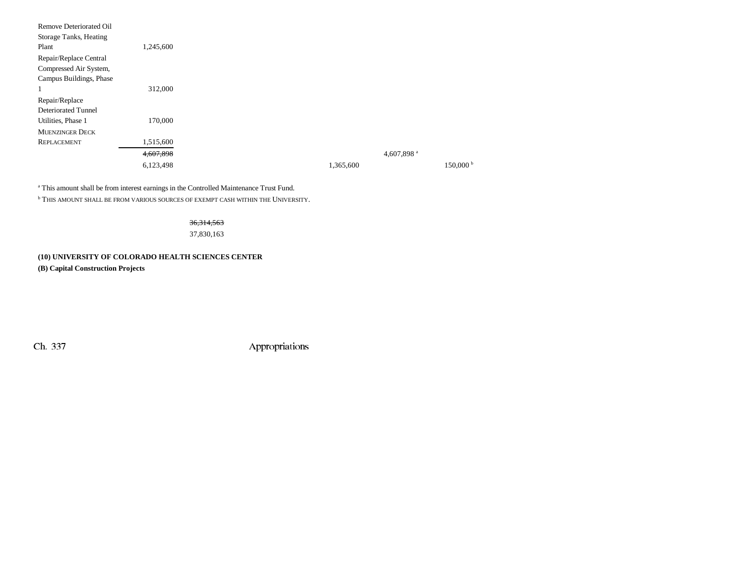| Remove Deteriorated Oil    |           |           |                        |
|----------------------------|-----------|-----------|------------------------|
| Storage Tanks, Heating     |           |           |                        |
| Plant                      | 1,245,600 |           |                        |
| Repair/Replace Central     |           |           |                        |
| Compressed Air System,     |           |           |                        |
| Campus Buildings, Phase    |           |           |                        |
| 1                          | 312,000   |           |                        |
| Repair/Replace             |           |           |                        |
| <b>Deteriorated Tunnel</b> |           |           |                        |
| Utilities, Phase 1         | 170,000   |           |                        |
| <b>MUENZINGER DECK</b>     |           |           |                        |
| REPLACEMENT                | 1,515,600 |           |                        |
|                            | 4,607,898 |           | 4,607,898 <sup>a</sup> |
|                            | 6,123,498 | 1,365,600 | $150,000^{\mathrm{b}}$ |
|                            |           |           |                        |

a This amount shall be from interest earnings in the Controlled Maintenance Trust Fund.

 $^{\rm b}$  This amount shall be from various sources of exempt cash within the University.

#### 36,314,563

37,830,163

### **(10) UNIVERSITY OF COLORADO HEALTH SCIENCES CENTER**

**(B) Capital Construction Projects**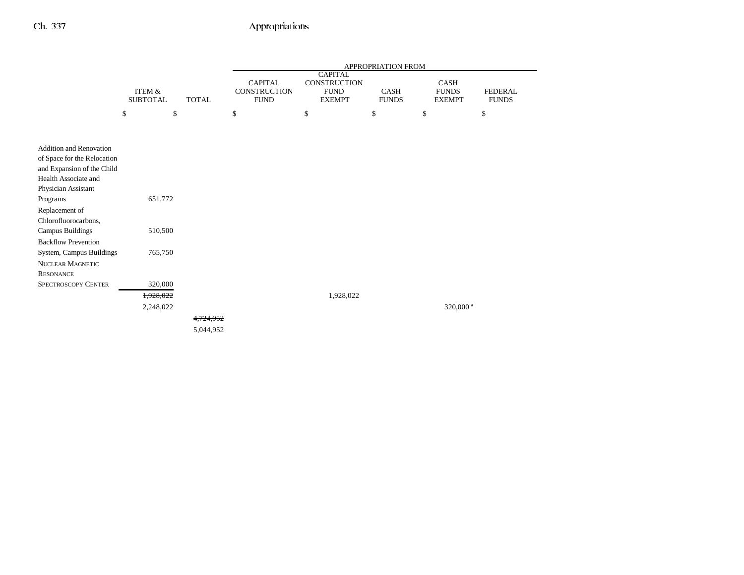|                                                                                                                                                                                                                                                                                                                               |                                      |                        |                                                      |                                                                       | APPROPRIATION FROM   |                                       |                                |
|-------------------------------------------------------------------------------------------------------------------------------------------------------------------------------------------------------------------------------------------------------------------------------------------------------------------------------|--------------------------------------|------------------------|------------------------------------------------------|-----------------------------------------------------------------------|----------------------|---------------------------------------|--------------------------------|
|                                                                                                                                                                                                                                                                                                                               | <b>ITEM &amp;</b><br><b>SUBTOTAL</b> | <b>TOTAL</b>           | <b>CAPITAL</b><br><b>CONSTRUCTION</b><br><b>FUND</b> | <b>CAPITAL</b><br><b>CONSTRUCTION</b><br><b>FUND</b><br><b>EXEMPT</b> | CASH<br><b>FUNDS</b> | CASH<br><b>FUNDS</b><br><b>EXEMPT</b> | <b>FEDERAL</b><br><b>FUNDS</b> |
|                                                                                                                                                                                                                                                                                                                               | \$                                   | \$                     | \$                                                   | \$                                                                    | \$                   | \$                                    | \$                             |
|                                                                                                                                                                                                                                                                                                                               |                                      |                        |                                                      |                                                                       |                      |                                       |                                |
| <b>Addition and Renovation</b><br>of Space for the Relocation<br>and Expansion of the Child<br>Health Associate and<br>Physician Assistant<br>Programs<br>Replacement of<br>Chlorofluorocarbons,<br><b>Campus Buildings</b><br><b>Backflow Prevention</b><br>System, Campus Buildings<br>NUCLEAR MAGNETIC<br><b>RESONANCE</b> | 651,772<br>510,500<br>765,750        |                        |                                                      |                                                                       |                      |                                       |                                |
| <b>SPECTROSCOPY CENTER</b>                                                                                                                                                                                                                                                                                                    | 320,000                              |                        |                                                      |                                                                       |                      |                                       |                                |
|                                                                                                                                                                                                                                                                                                                               | 1,928,022                            |                        |                                                      | 1,928,022                                                             |                      |                                       |                                |
|                                                                                                                                                                                                                                                                                                                               | 2,248,022                            | 4.724.952<br>5,044,952 |                                                      |                                                                       |                      | 320,000 <sup>a</sup>                  |                                |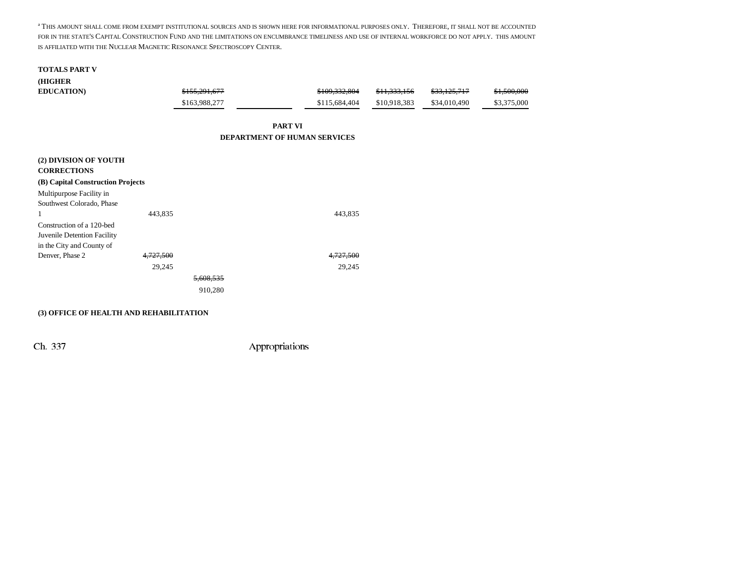a THIS AMOUNT SHALL COME FROM EXEMPT INSTITUTIONAL SOURCES AND IS SHOWN HERE FOR INFORMATIONAL PURPOSES ONLY. THEREFORE, IT SHALL NOT BE ACCOUNTED FOR IN THE STATE'S CAPITAL CONSTRUCTION FUND AND THE LIMITATIONS ON ENCUMBRANCE TIMELINESS AND USE OF INTERNAL WORKFORCE DO NOT APPLY. THIS AMOUNTIS AFFILIATED WITH THE NUCLEAR MAGNETIC RESONANCE SPECTROSCOPY CENTER.

| <b>TOTALS PART V</b>              |           |               |                                     |               |              |              |             |
|-----------------------------------|-----------|---------------|-------------------------------------|---------------|--------------|--------------|-------------|
| (HIGHER                           |           |               |                                     |               |              |              |             |
| <b>EDUCATION</b> )                |           | \$155,291,677 |                                     | \$109,332,804 | \$11,333,156 | \$33,125,717 | \$1,500,000 |
|                                   |           | \$163,988,277 |                                     | \$115,684,404 | \$10,918,383 | \$34,010,490 | \$3,375,000 |
|                                   |           |               | <b>PART VI</b>                      |               |              |              |             |
|                                   |           |               | <b>DEPARTMENT OF HUMAN SERVICES</b> |               |              |              |             |
| (2) DIVISION OF YOUTH             |           |               |                                     |               |              |              |             |
| <b>CORRECTIONS</b>                |           |               |                                     |               |              |              |             |
| (B) Capital Construction Projects |           |               |                                     |               |              |              |             |
| Multipurpose Facility in          |           |               |                                     |               |              |              |             |
| Southwest Colorado, Phase         |           |               |                                     |               |              |              |             |
|                                   | 443,835   |               |                                     | 443,835       |              |              |             |
| Construction of a 120-bed         |           |               |                                     |               |              |              |             |
| Juvenile Detention Facility       |           |               |                                     |               |              |              |             |
| in the City and County of         |           |               |                                     |               |              |              |             |
| Denver, Phase 2                   | 4,727,500 |               |                                     | 4,727,500     |              |              |             |
|                                   | 29,245    |               |                                     | 29,245        |              |              |             |
|                                   |           | 600 524       |                                     |               |              |              |             |
|                                   |           |               |                                     |               |              |              |             |

910,280

#### **(3) OFFICE OF HEALTH AND REHABILITATION**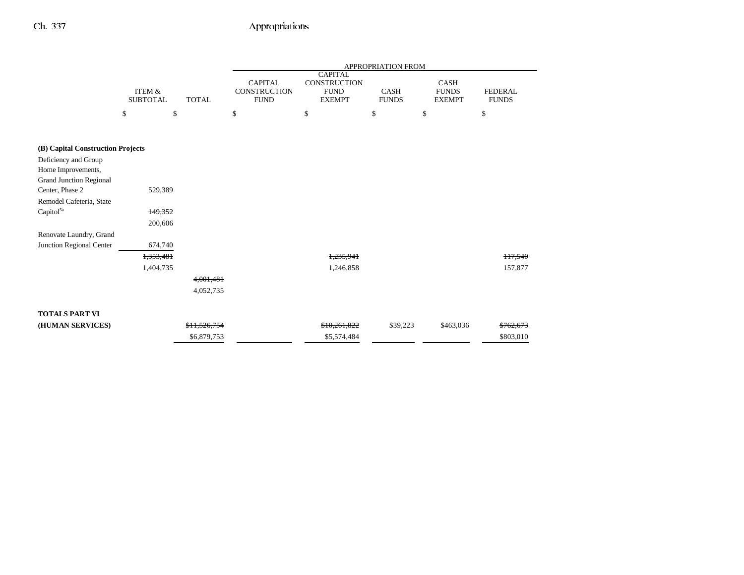|                                   |                                      |              |                                               |                                                                       | APPROPRIATION FROM          |                                              |                                |
|-----------------------------------|--------------------------------------|--------------|-----------------------------------------------|-----------------------------------------------------------------------|-----------------------------|----------------------------------------------|--------------------------------|
|                                   | <b>ITEM &amp;</b><br><b>SUBTOTAL</b> | <b>TOTAL</b> | <b>CAPITAL</b><br>CONSTRUCTION<br><b>FUND</b> | <b>CAPITAL</b><br><b>CONSTRUCTION</b><br><b>FUND</b><br><b>EXEMPT</b> | <b>CASH</b><br><b>FUNDS</b> | <b>CASH</b><br><b>FUNDS</b><br><b>EXEMPT</b> | <b>FEDERAL</b><br><b>FUNDS</b> |
|                                   | \$                                   | \$           | \$                                            | \$                                                                    | \$                          | \$                                           | \$                             |
|                                   |                                      |              |                                               |                                                                       |                             |                                              |                                |
| (B) Capital Construction Projects |                                      |              |                                               |                                                                       |                             |                                              |                                |
| Deficiency and Group              |                                      |              |                                               |                                                                       |                             |                                              |                                |
| Home Improvements,                |                                      |              |                                               |                                                                       |                             |                                              |                                |
| <b>Grand Junction Regional</b>    |                                      |              |                                               |                                                                       |                             |                                              |                                |
| Center, Phase 2                   | 529,389                              |              |                                               |                                                                       |                             |                                              |                                |
| Remodel Cafeteria, State          |                                      |              |                                               |                                                                       |                             |                                              |                                |
| Capitol <sup>5a</sup>             | 149,352                              |              |                                               |                                                                       |                             |                                              |                                |
|                                   | 200,606                              |              |                                               |                                                                       |                             |                                              |                                |
| Renovate Laundry, Grand           |                                      |              |                                               |                                                                       |                             |                                              |                                |
| Junction Regional Center          | 674,740                              |              |                                               |                                                                       |                             |                                              |                                |
|                                   | 1,353,481                            |              |                                               | 1,235,941                                                             |                             |                                              | 117,540                        |
|                                   | 1,404,735                            |              |                                               | 1,246,858                                                             |                             |                                              | 157,877                        |
|                                   |                                      | 4,001,481    |                                               |                                                                       |                             |                                              |                                |
|                                   |                                      | 4,052,735    |                                               |                                                                       |                             |                                              |                                |
|                                   |                                      |              |                                               |                                                                       |                             |                                              |                                |
| <b>TOTALS PART VI</b>             |                                      |              |                                               |                                                                       |                             |                                              |                                |
| (HUMAN SERVICES)                  |                                      | \$11,526,754 |                                               | \$10,261,822                                                          | \$39,223                    | \$463,036                                    | \$762,673                      |
|                                   |                                      | \$6,879,753  |                                               | \$5,574,484                                                           |                             |                                              | \$803,010                      |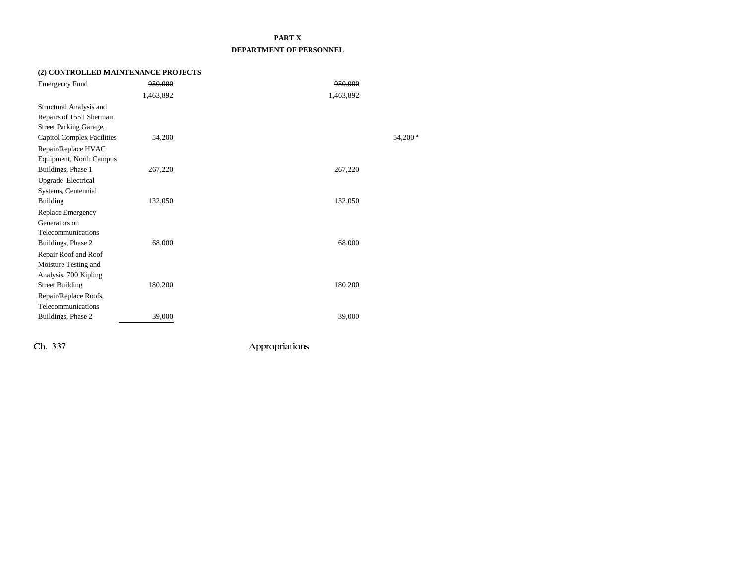### **PART X DEPARTMENT OF PERSONNEL**

### **(2) CONTROLLED MAINTENANCE PROJECTS**

| <b>Emergency Fund</b>             | 950,000   | 950,000   |                       |
|-----------------------------------|-----------|-----------|-----------------------|
|                                   | 1,463,892 | 1,463,892 |                       |
| Structural Analysis and           |           |           |                       |
| Repairs of 1551 Sherman           |           |           |                       |
| Street Parking Garage,            |           |           |                       |
| <b>Capitol Complex Facilities</b> | 54,200    |           | $54,200$ <sup>a</sup> |
| Repair/Replace HVAC               |           |           |                       |
| Equipment, North Campus           |           |           |                       |
| Buildings, Phase 1                | 267,220   | 267,220   |                       |
| Upgrade Electrical                |           |           |                       |
| Systems, Centennial               |           |           |                       |
| <b>Building</b>                   | 132,050   | 132,050   |                       |
| Replace Emergency                 |           |           |                       |
| Generators on                     |           |           |                       |
| Telecommunications                |           |           |                       |
| Buildings, Phase 2                | 68,000    | 68,000    |                       |
| Repair Roof and Roof              |           |           |                       |
| Moisture Testing and              |           |           |                       |
| Analysis, 700 Kipling             |           |           |                       |
| <b>Street Building</b>            | 180,200   | 180,200   |                       |
| Repair/Replace Roofs,             |           |           |                       |
| Telecommunications                |           |           |                       |
| Buildings, Phase 2                | 39,000    | 39,000    |                       |
|                                   |           |           |                       |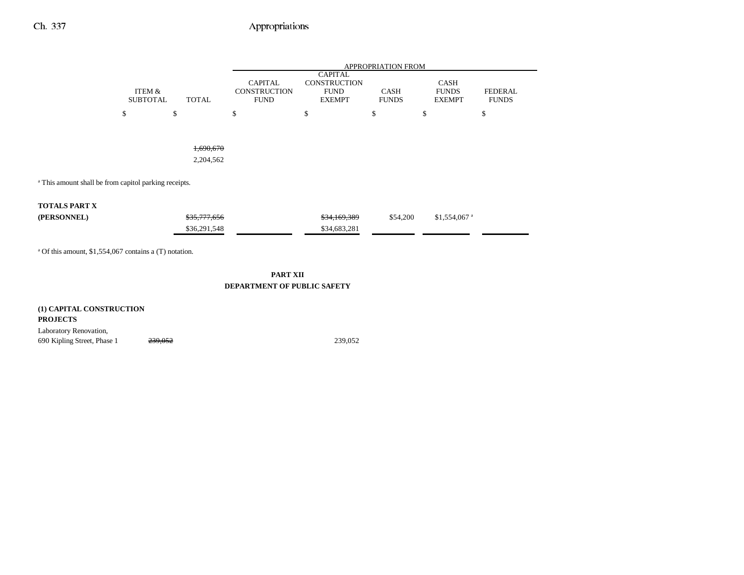|                                                                  |                                           |    |                                                      | <b>APPROPRIATION FROM</b><br><b>CAPITAL</b>         |    |                             |          |                                       |                                |    |
|------------------------------------------------------------------|-------------------------------------------|----|------------------------------------------------------|-----------------------------------------------------|----|-----------------------------|----------|---------------------------------------|--------------------------------|----|
|                                                                  | ITEM &<br><b>TOTAL</b><br><b>SUBTOTAL</b> |    | <b>CAPITAL</b><br><b>CONSTRUCTION</b><br><b>FUND</b> | <b>CONSTRUCTION</b><br><b>FUND</b><br><b>EXEMPT</b> |    | <b>CASH</b><br><b>FUNDS</b> |          | CASH<br><b>FUNDS</b><br><b>EXEMPT</b> | <b>FEDERAL</b><br><b>FUNDS</b> |    |
|                                                                  | \$                                        | \$ |                                                      | \$                                                  | \$ |                             | \$       | \$                                    |                                | \$ |
|                                                                  |                                           |    | 1,690,670                                            |                                                     |    |                             |          |                                       |                                |    |
|                                                                  |                                           |    | 2,204,562                                            |                                                     |    |                             |          |                                       |                                |    |
| <sup>a</sup> This amount shall be from capitol parking receipts. |                                           |    |                                                      |                                                     |    |                             |          |                                       |                                |    |
| <b>TOTALS PART X</b>                                             |                                           |    |                                                      |                                                     |    |                             |          |                                       |                                |    |
| (PERSONNEL)                                                      |                                           |    | \$35,777,656                                         |                                                     |    | \$34,169,389                | \$54,200 |                                       | $$1,554,067$ <sup>a</sup>      |    |
|                                                                  |                                           |    | \$36,291,548                                         |                                                     |    | \$34,683,281                |          |                                       |                                |    |

#### **PART XII DEPARTMENT OF PUBLIC SAFETY**

**(1) CAPITAL CONSTRUCTION PROJECTS** Laboratory Renovation, 690 Kipling Street, Phase 1 239,052 239,052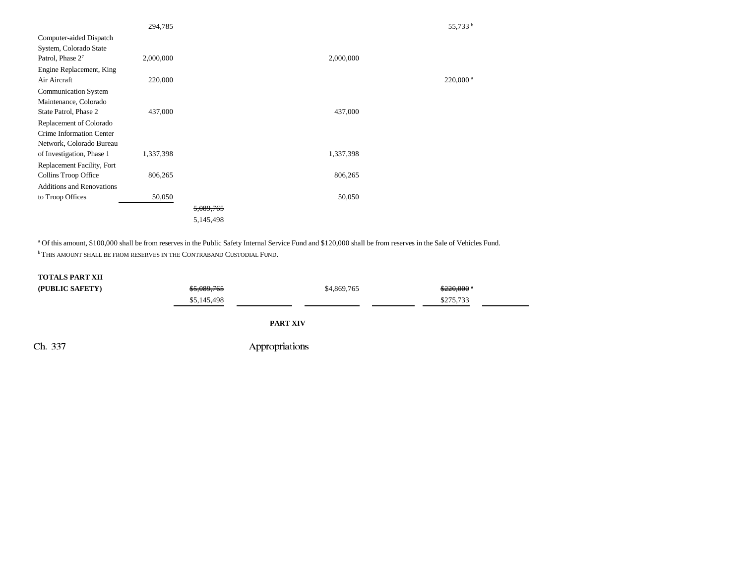|                                  | 294,785   |           |           | 55,733 <sup>b</sup>    |
|----------------------------------|-----------|-----------|-----------|------------------------|
| Computer-aided Dispatch          |           |           |           |                        |
| System, Colorado State           |           |           |           |                        |
| Patrol, Phase $2^7$              | 2,000,000 |           | 2,000,000 |                        |
| Engine Replacement, King         |           |           |           |                        |
| Air Aircraft                     | 220,000   |           |           | $220,000$ <sup>a</sup> |
| Communication System             |           |           |           |                        |
| Maintenance, Colorado            |           |           |           |                        |
| State Patrol, Phase 2            | 437,000   |           | 437,000   |                        |
| Replacement of Colorado          |           |           |           |                        |
| Crime Information Center         |           |           |           |                        |
| Network, Colorado Bureau         |           |           |           |                        |
| of Investigation, Phase 1        | 1,337,398 |           | 1,337,398 |                        |
| Replacement Facility, Fort       |           |           |           |                        |
| Collins Troop Office             | 806,265   |           | 806,265   |                        |
| <b>Additions and Renovations</b> |           |           |           |                        |
| to Troop Offices                 | 50,050    |           | 50,050    |                        |
|                                  |           | 5,089,765 |           |                        |
|                                  |           | 5,145,498 |           |                        |
|                                  |           |           |           |                        |

a Of this amount, \$100,000 shall be from reserves in the Public Safety Internal Service Fund and \$120,000 shall be from reserves in the Sale of Vehicles Fund. **b This amount shall be from reserves in the Contraband Custodial Fund.** 

## **TOTALS PART XII**

| (PUBLIC SAFETY) | <del>\$5.089.765</del> | \$4,869,765 | $$220.000$ $*$ |  |
|-----------------|------------------------|-------------|----------------|--|
|                 | \$5,145,498            |             | \$275,733      |  |

**PART XIV**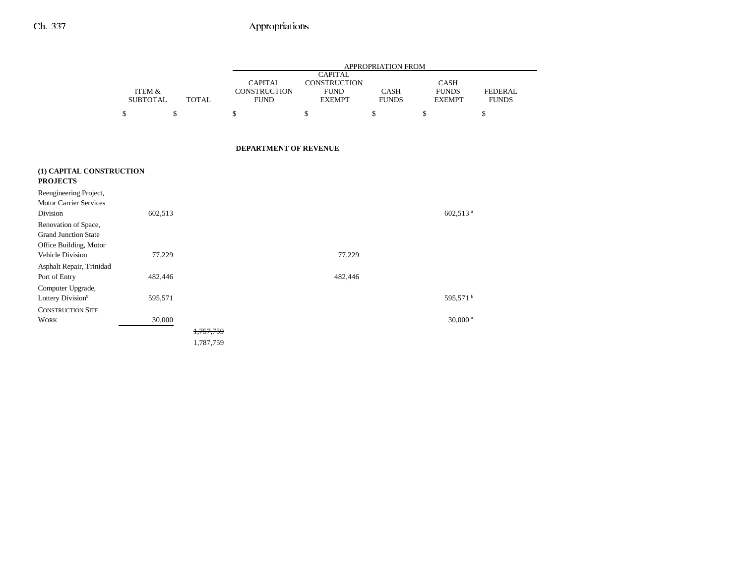|                                                                               |                                      |              |                                                      |                                                                | APPROPRIATION FROM          |                                              |                                |
|-------------------------------------------------------------------------------|--------------------------------------|--------------|------------------------------------------------------|----------------------------------------------------------------|-----------------------------|----------------------------------------------|--------------------------------|
|                                                                               | <b>ITEM &amp;</b><br><b>SUBTOTAL</b> | <b>TOTAL</b> | <b>CAPITAL</b><br><b>CONSTRUCTION</b><br><b>FUND</b> | <b>CAPITAL</b><br>CONSTRUCTION<br><b>FUND</b><br><b>EXEMPT</b> | <b>CASH</b><br><b>FUNDS</b> | <b>CASH</b><br><b>FUNDS</b><br><b>EXEMPT</b> | <b>FEDERAL</b><br><b>FUNDS</b> |
|                                                                               | \$                                   | \$           | \$                                                   | \$                                                             | \$                          | \$                                           | \$                             |
|                                                                               |                                      |              | <b>DEPARTMENT OF REVENUE</b>                         |                                                                |                             |                                              |                                |
| (1) CAPITAL CONSTRUCTION<br><b>PROJECTS</b>                                   |                                      |              |                                                      |                                                                |                             |                                              |                                |
| Reengineering Project,<br><b>Motor Carrier Services</b>                       |                                      |              |                                                      |                                                                |                             |                                              |                                |
| Division                                                                      | 602,513                              |              |                                                      |                                                                |                             | 602,513 <sup>a</sup>                         |                                |
| Renovation of Space,<br><b>Grand Junction State</b><br>Office Building, Motor |                                      |              |                                                      |                                                                |                             |                                              |                                |
| Vehicle Division                                                              | 77,229                               |              |                                                      | 77,229                                                         |                             |                                              |                                |
| Asphalt Repair, Trinidad                                                      |                                      |              |                                                      |                                                                |                             |                                              |                                |
| Port of Entry                                                                 | 482,446                              |              |                                                      | 482,446                                                        |                             |                                              |                                |
| Computer Upgrade,                                                             |                                      |              |                                                      |                                                                |                             |                                              |                                |
| Lottery Division <sup>9</sup>                                                 | 595,571                              |              |                                                      |                                                                |                             | 595,571 <sup>b</sup>                         |                                |
| <b>CONSTRUCTION SITE</b>                                                      |                                      |              |                                                      |                                                                |                             |                                              |                                |
| <b>WORK</b>                                                                   | 30,000                               |              |                                                      |                                                                |                             | $30,000$ <sup>a</sup>                        |                                |
|                                                                               |                                      | 1,757,759    |                                                      |                                                                |                             |                                              |                                |
|                                                                               |                                      | 1,787,759    |                                                      |                                                                |                             |                                              |                                |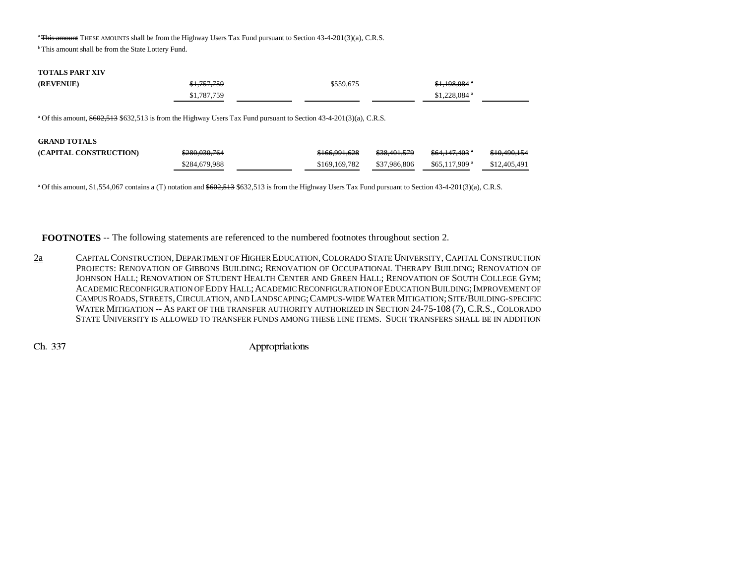<sup>a</sup> This amount THESE AMOUNTS shall be from the Highway Users Tax Fund pursuant to Section 43-4-201(3)(a), C.R.S.

**b** This amount shall be from the State Lottery Fund.

#### **TOTALS PART XIV**

| (REVENUE) | \$1,757,759 | \$559,675 | <del>\$1,198,084</del> *  |
|-----------|-------------|-----------|---------------------------|
|           | \$1,787,759 |           | $$1,228,084$ <sup>a</sup> |

<sup>a</sup> Of this amount, \$602,513 \$632,513 is from the Highway Users Tax Fund pursuant to Section 43-4-201(3)(a), C.R.S.

| <b>GRAND TOTALS</b>    |               |               |                         |                            |                         |
|------------------------|---------------|---------------|-------------------------|----------------------------|-------------------------|
| (CAPITAL CONSTRUCTION) | \$280,030,764 | \$166,991,628 | <del>\$38.401.579</del> | <del>\$64,147,403</del> °  | <del>\$10,490,154</del> |
|                        | \$284,679,988 | \$169,169,782 | \$37,986,806            | $$65.117,909$ <sup>a</sup> | \$12,405,491            |

<sup>a</sup> Of this amount, \$1,554,067 contains a (T) notation and \$602,513 \$632,513 is from the Highway Users Tax Fund pursuant to Section 43-4-201(3)(a), C.R.S.

**FOOTNOTES** -- The following statements are referenced to the numbered footnotes throughout section 2.

2a Capital Construction, Department of Higher Education, Colorado State University, Capital Construction Projects: Renovation of Gibbons Building; Renovation of Occupational Therapy Building; Renovation of JOHNSON HALL; RENOVATION OF STUDENT HEALTH CENTER AND GREEN HALL; RENOVATION OF SOUTH COLLEGE GYM; ACADEMIC RECONFIGURATION OF EDDY HALL; ACADEMIC RECONFIGURATION OF EDUCATION BUILDING; IMPROVEMENT OF CAMPUS ROADS, STREETS, CIRCULATION, AND LANDSCAPING; CAMPUS-WIDE WATER MITIGATION; SITE/BUILDING-SPECIFIC WATER MITIGATION -- AS PART OF THE TRANSFER AUTHORITY AUTHORIZED IN SECTION 24-75-108 (7), C.R.S., COLORADO STATE UNIVERSITY IS ALLOWED TO TRANSFER FUNDS AMONG THESE LINE ITEMS. SUCH TRANSFERS SHALL BE IN ADDITION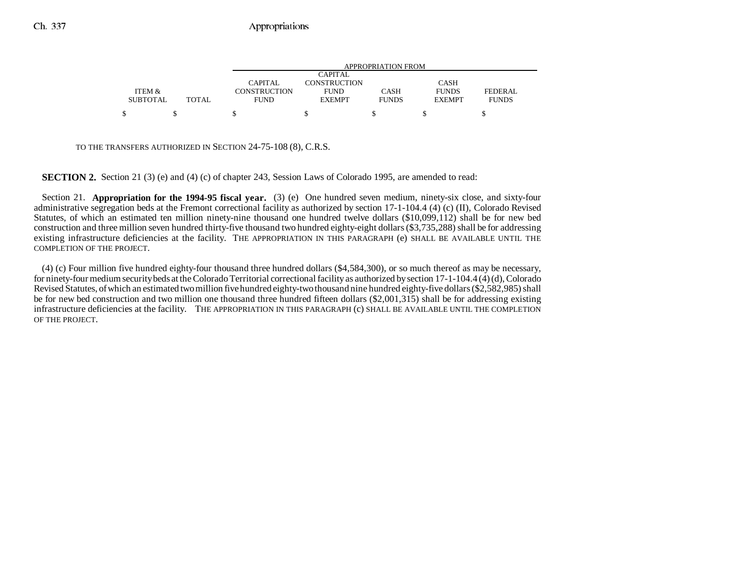|                 |        |              | APPROPRIATION FROM |              |               |                |  |  |
|-----------------|--------|--------------|--------------------|--------------|---------------|----------------|--|--|
|                 |        |              | <b>CAPITAL</b>     |              |               |                |  |  |
|                 |        | CAPITAL      | CONSTRUCTION       |              | <b>CASH</b>   |                |  |  |
| ITEM &          |        | CONSTRUCTION | <b>FUND</b>        | CASH         | <b>FUNDS</b>  | <b>FEDERAL</b> |  |  |
| <b>SUBTOTAL</b> | TOTAL. | <b>FUND</b>  | <b>EXEMPT</b>      | <b>FUNDS</b> | <b>EXEMPT</b> | <b>FUNDS</b>   |  |  |
|                 |        |              |                    |              |               |                |  |  |
|                 |        |              |                    |              |               |                |  |  |

TO THE TRANSFERS AUTHORIZED IN SECTION 24-75-108 (8), C.R.S.

**SECTION 2.** Section 21 (3) (e) and (4) (c) of chapter 243, Session Laws of Colorado 1995, are amended to read:

Section 21. **Appropriation for the 1994-95 fiscal year.** (3) (e) One hundred seven medium, ninety-six close, and sixty-four administrative segregation beds at the Fremont correctional facility as authorized by section 17-1-104.4 (4) (c) (II), Colorado Revised Statutes, of which an estimated ten million ninety-nine thousand one hundred twelve dollars (\$10,099,112) shall be for new bed construction and three million seven hundred thirty-five thousand two hundred eighty-eight dollars (\$3,735,288) shall be for addressing existing infrastructure deficiencies at the facility. THE APPROPRIATION IN THIS PARAGRAPH (e) SHALL BE AVAILABLE UNTIL THE COMPLETION OF THE PROJECT.

(4) (c) Four million five hundred eighty-four thousand three hundred dollars (\$4,584,300), or so much thereof as may be necessary, for ninety-four medium security beds at the Colorado Territorial correctional facility as authorized by section 17-1-104.4 (4) (d), Colorado Revised Statutes, of which an estimated two million five hundred eighty-two thousand nine hundred eighty-five dollars (\$2,582,985) shall be for new bed construction and two million one thousand three hundred fifteen dollars (\$2,001,315) shall be for addressing existing infrastructure deficiencies at the facility. THE APPROPRIATION IN THIS PARAGRAPH (c) SHALL BE AVAILABLE UNTIL THE COMPLETION OF THE PROJECT.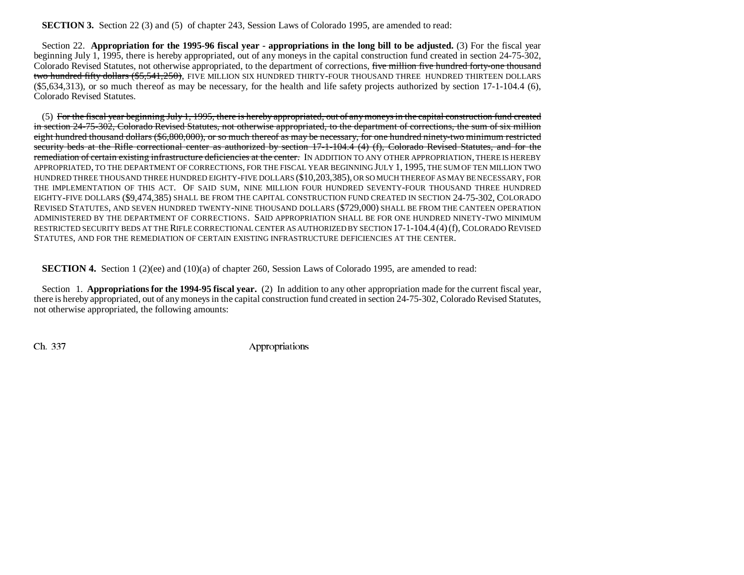**SECTION 3.** Section 22 (3) and (5) of chapter 243, Session Laws of Colorado 1995, are amended to read:

Section 22. **Appropriation for the 1995-96 fiscal year - appropriations in the long bill to be adjusted.** (3) For the fiscal year beginning July 1, 1995, there is hereby appropriated, out of any moneys in the capital construction fund created in section 24-75-302, Colorado Revised Statutes, not otherwise appropriated, to the department of corrections, five million five hundred forty-one thousand two hundred fifty dollars (\$5,541,250), FIVE MILLION SIX HUNDRED THIRTY-FOUR THOUSAND THREE HUNDRED THIRTEEN DOLLARS  $(\$5,634,313)$ , or so much thereof as may be necessary, for the health and life safety projects authorized by section 17-1-104.4 (6), Colorado Revised Statutes.

(5) For the fiscal year beginning July 1, 1995, there is hereby appropriated, out of any moneys in the capital construction fund created in section 24-75-302, Colorado Revised Statutes, not otherwise appropriated, to the department of corrections, the sum of six million eight hundred thousand dollars (\$6,800,000), or so much thereof as may be necessary, for one hundred ninety-two minimum restricted security beds at the Rifle correctional center as authorized by section 17-1-104.4 (4) (f), Colorado Revised Statutes, and for the remediation of certain existing infrastructure deficiencies at the center. IN ADDITION TO ANY OTHER APPROPRIATION, THERE IS HEREBY APPROPRIATED, TO THE DEPARTMENT OF CORRECTIONS, FOR THE FISCAL YEAR BEGINNING JULY 1, 1995, THE SUM OF TEN MILLION TWO HUNDRED THREE THOUSAND THREE HUNDRED EIGHTY-FIVE DOLLARS (\$10,203,385), OR SO MUCH THEREOF AS MAY BE NECESSARY, FOR THE IMPLEMENTATION OF THIS ACT. OF SAID SUM, NINE MILLION FOUR HUNDRED SEVENTY-FOUR THOUSAND THREE HUNDRED EIGHTY-FIVE DOLLARS (\$9,474,385) SHALL BE FROM THE CAPITAL CONSTRUCTION FUND CREATED IN SECTION 24-75-302, COLORADOREVISED STATUTES, AND SEVEN HUNDRED TWENTY-NINE THOUSAND DOLLARS (\$729,000) SHALL BE FROM THE CANTEEN OPERATION ADMINISTERED BY THE DEPARTMENT OF CORRECTIONS. SAID APPROPRIATION SHALL BE FOR ONE HUNDRED NINETY-TWO MINIMUMRESTRICTED SECURITY BEDS AT THE RIFLE CORRECTIONAL CENTER AS AUTHORIZED BY SECTION 17-1-104.4(4)(f), COLORADO REVISED STATUTES, AND FOR THE REMEDIATION OF CERTAIN EXISTING INFRASTRUCTURE DEFICIENCIES AT THE CENTER.

**SECTION 4.** Section 1 (2)(ee) and (10)(a) of chapter 260, Session Laws of Colorado 1995, are amended to read:

Section 1. **Appropriations for the 1994-95 fiscal year.** (2) In addition to any other appropriation made for the current fiscal year, there is hereby appropriated, out of any moneys in the capital construction fund created in section 24-75-302, Colorado Revised Statutes, not otherwise appropriated, the following amounts: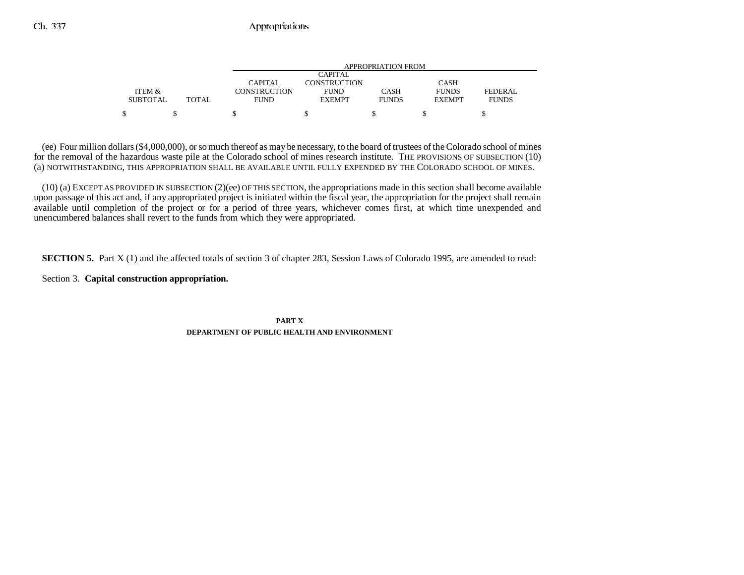|                 |              |                     |                | APPROPRIATION FROM |               |              |
|-----------------|--------------|---------------------|----------------|--------------------|---------------|--------------|
|                 |              |                     | <b>CAPITAL</b> |                    |               |              |
|                 |              | CAPITAL             | CONSTRUCTION   |                    | <b>CASH</b>   |              |
| ITEM &          |              | <b>CONSTRUCTION</b> | <b>FUND</b>    | <b>CASH</b>        | <b>FUNDS</b>  | FEDERAL      |
| <b>SUBTOTAL</b> | <b>TOTAL</b> | <b>FUND</b>         | <b>EXEMPT</b>  | <b>FUNDS</b>       | <b>EXEMPT</b> | <b>FUNDS</b> |
|                 |              |                     |                |                    |               |              |

(ee) Four million dollars (\$4,000,000), or so much thereof as may be necessary, to the board of trustees of the Colorado school of mines for the removal of the hazardous waste pile at the Colorado school of mines research institute. THE PROVISIONS OF SUBSECTION (10) (a) NOTWITHSTANDING, THIS APPROPRIATION SHALL BE AVAILABLE UNTIL FULLY EXPENDED BY THE COLORADO SCHOOL OF MINES.

(10) (a) EXCEPT AS PROVIDED IN SUBSECTION (2)(ee) OF THIS SECTION, the appropriations made in this section shall become available upon passage of this act and, if any appropriated project is initiated within the fiscal year, the appropriation for the project shall remain available until completion of the project or for a period of three years, whichever comes first, at which time unexpended and unencumbered balances shall revert to the funds from which they were appropriated.

**SECTION 5.** Part X (1) and the affected totals of section 3 of chapter 283, Session Laws of Colorado 1995, are amended to read:

Section 3. **Capital construction appropriation.**

**PART XDEPARTMENT OF PUBLIC HEALTH AND ENVIRONMENT**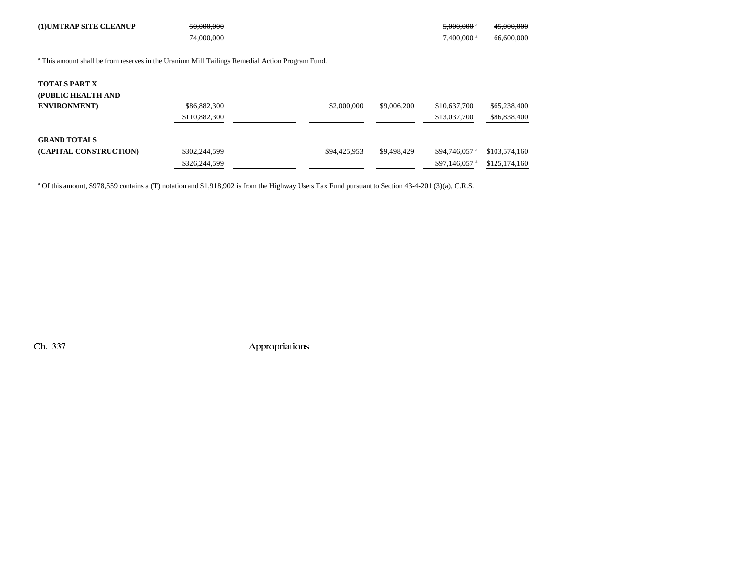| (1) UMTRAP SITE CLEANUP                                                                                    | 50,000,000    |              |             | $5,000,000$ $^{\circ}$     | 45,000,000    |
|------------------------------------------------------------------------------------------------------------|---------------|--------------|-------------|----------------------------|---------------|
|                                                                                                            | 74,000,000    |              |             | 7,400,000 <sup>a</sup>     | 66,600,000    |
|                                                                                                            |               |              |             |                            |               |
| <sup>a</sup> This amount shall be from reserves in the Uranium Mill Tailings Remedial Action Program Fund. |               |              |             |                            |               |
|                                                                                                            |               |              |             |                            |               |
| <b>TOTALS PART X</b>                                                                                       |               |              |             |                            |               |
| (PUBLIC HEALTH AND                                                                                         |               |              |             |                            |               |
| <b>ENVIRONMENT</b> )                                                                                       | \$86,882,300  | \$2,000,000  | \$9,006,200 | \$10,637,700               | \$65,238,400  |
|                                                                                                            | \$110,882,300 |              |             | \$13,037,700               | \$86,838,400  |
|                                                                                                            |               |              |             |                            |               |
| <b>GRAND TOTALS</b>                                                                                        |               |              |             |                            |               |
| (CAPITAL CONSTRUCTION)                                                                                     | \$302,244,599 | \$94,425,953 | \$9,498,429 | $$94.746.057$ $*$          | \$103,574,160 |
|                                                                                                            | \$326,244,599 |              |             | \$97,146,057 $\mathrm{^a}$ | \$125,174,160 |

<sup>a</sup> Of this amount, \$978,559 contains a (T) notation and \$1,918,902 is from the Highway Users Tax Fund pursuant to Section 43-4-201 (3)(a), C.R.S.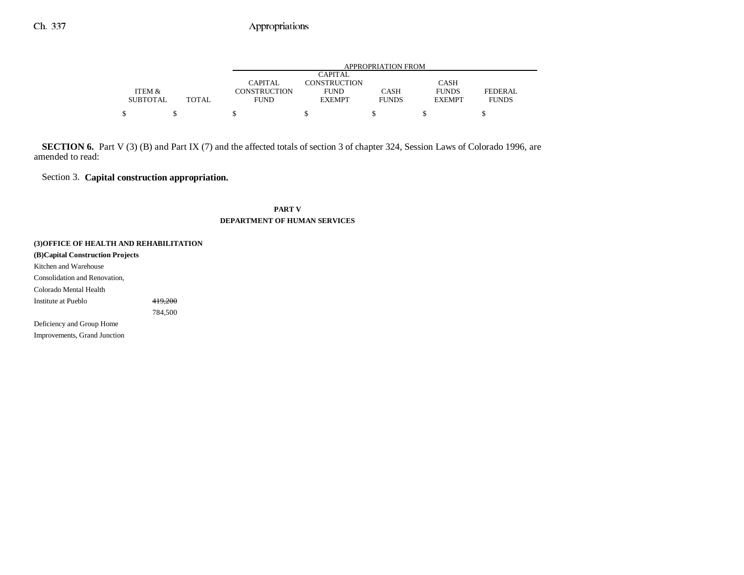|                 |       |                     |                     | APPROPRIATION FROM |               |              |
|-----------------|-------|---------------------|---------------------|--------------------|---------------|--------------|
|                 |       |                     | CAPITAL             |                    |               |              |
|                 |       | CAPITAL             | <b>CONSTRUCTION</b> |                    | <b>CASH</b>   |              |
| ITEM &          |       | <b>CONSTRUCTION</b> | <b>FUND</b>         | CASH               | <b>FUNDS</b>  | FEDERAL      |
| <b>SUBTOTAL</b> | TOTAL | <b>FUND</b>         | <b>EXEMPT</b>       | <b>FUNDS</b>       | <b>EXEMPT</b> | <b>FUNDS</b> |
|                 |       |                     |                     |                    |               |              |

**SECTION 6.** Part V (3) (B) and Part IX (7) and the affected totals of section 3 of chapter 324, Session Laws of Colorado 1996, are amended to read:

Section 3. **Capital construction appropriation.**

### **PART VDEPARTMENT OF HUMAN SERVICES**

**(3)OFFICE OF HEALTH AND REHABILITATION (B)Capital Construction Projects** Kitchen and Warehouse Consolidation and Renovation, Colorado Mental Health Institute at Pueblo 419,200 784,500 Deficiency and Group Home Improvements, Grand Junction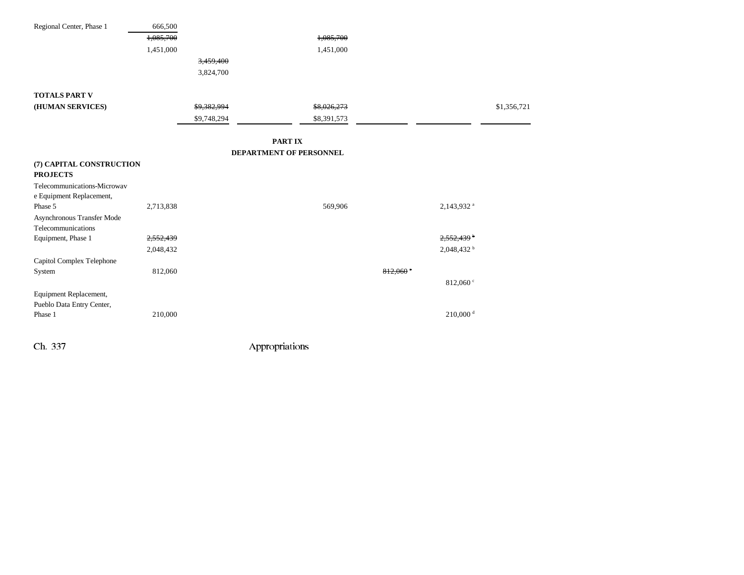| Regional Center, Phase 1                    | 666,500   |             |                         |                     |                        |             |
|---------------------------------------------|-----------|-------------|-------------------------|---------------------|------------------------|-------------|
|                                             | 1,085,700 |             | 1,085,700               |                     |                        |             |
|                                             | 1,451,000 |             | 1,451,000               |                     |                        |             |
|                                             |           | 3,459,400   |                         |                     |                        |             |
|                                             |           | 3,824,700   |                         |                     |                        |             |
|                                             |           |             |                         |                     |                        |             |
| <b>TOTALS PART V</b>                        |           |             |                         |                     |                        |             |
| (HUMAN SERVICES)                            |           | \$9,382,994 | \$8,026,273             |                     |                        | \$1,356,721 |
|                                             |           | \$9,748,294 | \$8,391,573             |                     |                        |             |
|                                             |           |             |                         |                     |                        |             |
|                                             |           |             | <b>PARTIX</b>           |                     |                        |             |
|                                             |           |             | DEPARTMENT OF PERSONNEL |                     |                        |             |
| (7) CAPITAL CONSTRUCTION<br><b>PROJECTS</b> |           |             |                         |                     |                        |             |
| Telecommunications-Microway                 |           |             |                         |                     |                        |             |
| e Equipment Replacement,                    |           |             |                         |                     |                        |             |
| Phase 5                                     | 2,713,838 |             | 569,906                 |                     | 2,143,932 <sup>a</sup> |             |
| Asynchronous Transfer Mode                  |           |             |                         |                     |                        |             |
| Telecommunications                          |           |             |                         |                     |                        |             |
| Equipment, Phase 1                          | 2,552,439 |             |                         |                     | 2,552,439 b            |             |
|                                             | 2,048,432 |             |                         |                     | 2,048,432 b            |             |
| Capitol Complex Telephone                   |           |             |                         |                     |                        |             |
| System                                      | 812,060   |             |                         | $812,060$ $\degree$ |                        |             |
|                                             |           |             |                         |                     | 812,060 $\degree$      |             |
| Equipment Replacement,                      |           |             |                         |                     |                        |             |
| Pueblo Data Entry Center,                   |           |             |                         |                     |                        |             |
| Phase 1                                     | 210,000   |             |                         |                     | $210,000$ <sup>d</sup> |             |
|                                             |           |             |                         |                     |                        |             |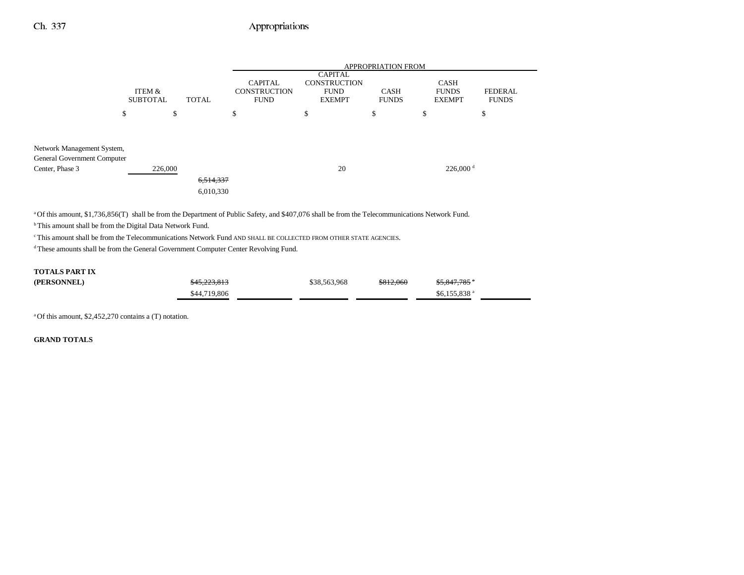|                                                                              |                           |                        | <b>APPROPRIATION FROM</b>                            |                                                                       |                             |                                              |                                |  |
|------------------------------------------------------------------------------|---------------------------|------------------------|------------------------------------------------------|-----------------------------------------------------------------------|-----------------------------|----------------------------------------------|--------------------------------|--|
|                                                                              | ITEM &<br><b>SUBTOTAL</b> | <b>TOTAL</b>           | <b>CAPITAL</b><br><b>CONSTRUCTION</b><br><b>FUND</b> | <b>CAPITAL</b><br><b>CONSTRUCTION</b><br><b>FUND</b><br><b>EXEMPT</b> | <b>CASH</b><br><b>FUNDS</b> | <b>CASH</b><br><b>FUNDS</b><br><b>EXEMPT</b> | <b>FEDERAL</b><br><b>FUNDS</b> |  |
| \$                                                                           |                           | \$                     | \$                                                   | \$                                                                    | \$                          | \$                                           | \$                             |  |
| Network Management System,<br>General Government Computer<br>Center, Phase 3 | 226,000                   | 6,514,337<br>6,010,330 |                                                      | 20                                                                    |                             | $226,000$ <sup>d</sup>                       |                                |  |

<sup>a</sup> Of this amount, \$1,736,856(T) shall be from the Department of Public Safety, and \$407,076 shall be from the Telecommunications Network Fund.

 $b$  This amount shall be from the Digital Data Network Fund.

c This amount shall be from the Telecommunications Network Fund AND SHALL BE COLLECTED FROM OTHER STATE AGENCIES.

d These amounts shall be from the General Government Computer Center Revolving Fund.

#### **TOTALS PART IX**

| (PERSONNEL) | \$45,223,813 | \$38,563,968 | \$812,060 | <del>\$5,847,785</del> *  |  |
|-------------|--------------|--------------|-----------|---------------------------|--|
|             | \$44,719,806 |              |           | $$6,155,838$ <sup>a</sup> |  |

a Of this amount, \$2,452,270 contains a (T) notation.

**GRAND TOTALS**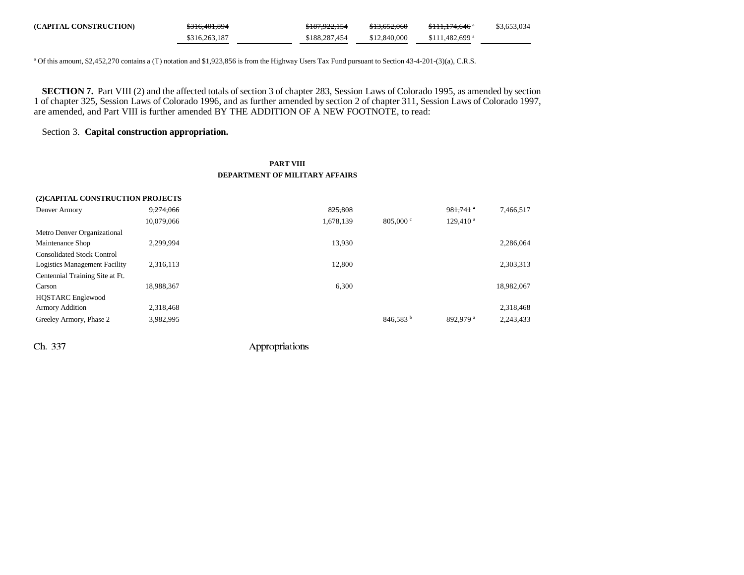| (CAPITAL CONSTRUCTION) | <del>\$316,401,894</del> | <del>\$187,922,154</del> | \$13,652,060 | <del>\$111,174,646</del> *  | \$3,653,034 |
|------------------------|--------------------------|--------------------------|--------------|-----------------------------|-------------|
|                        | \$316,263,187            | \$188,287,454            | \$12,840,000 | $$111.482.699$ <sup>a</sup> |             |

<sup>a</sup> Of this amount, \$2,452,270 contains a (T) notation and \$1,923,856 is from the Highway Users Tax Fund pursuant to Section 43-4-201-(3)(a), C.R.S.

**SECTION 7.** Part VIII (2) and the affected totals of section 3 of chapter 283, Session Laws of Colorado 1995, as amended by section 1 of chapter 325, Session Laws of Colorado 1996, and as further amended by section 2 of chapter 311, Session Laws of Colorado 1997, are amended, and Part VIII is further amended BY THE ADDITION OF A NEW FOOTNOTE, to read:

## Section 3. **Capital construction appropriation.**

**(2)CAPITAL CONSTRUCTION PROJECTS**

### **PART VIII DEPARTMENT OF MILITARY AFFAIRS**

| (2)CAPITAL CONSTRUCTION PROJECTS  |            |           |                      |                        |            |
|-----------------------------------|------------|-----------|----------------------|------------------------|------------|
| Denver Armory                     | 9,274,066  | 825,808   |                      | $981,741$ $\degree$    | 7,466,517  |
|                                   | 10,079,066 | 1,678,139 | $805,000 \text{°}$   | $129,410$ <sup>a</sup> |            |
| Metro Denver Organizational       |            |           |                      |                        |            |
| Maintenance Shop                  | 2.299.994  | 13.930    |                      |                        | 2,286,064  |
| <b>Consolidated Stock Control</b> |            |           |                      |                        |            |
| Logistics Management Facility     | 2,316,113  | 12,800    |                      |                        | 2,303,313  |
| Centennial Training Site at Ft.   |            |           |                      |                        |            |
| Carson                            | 18.988.367 | 6,300     |                      |                        | 18.982.067 |
| <b>HQSTARC</b> Englewood          |            |           |                      |                        |            |
| <b>Armory Addition</b>            | 2,318,468  |           |                      |                        | 2,318,468  |
| Greeley Armory, Phase 2           | 3,982,995  |           | 846,583 <sup>b</sup> | 892.979 <sup>a</sup>   | 2,243,433  |
|                                   |            |           |                      |                        |            |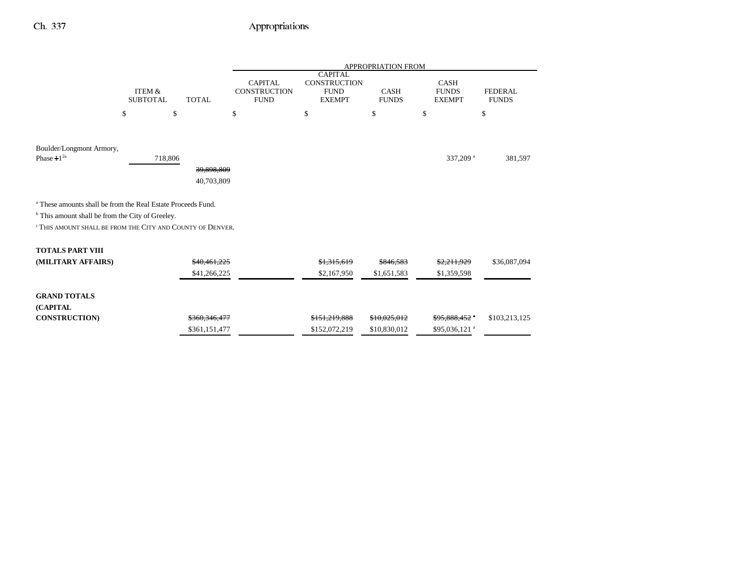|                                                                         |                           |               | <b>APPROPRIATION FROM</b>                            |                                                                       |                             |                                              |                                |  |
|-------------------------------------------------------------------------|---------------------------|---------------|------------------------------------------------------|-----------------------------------------------------------------------|-----------------------------|----------------------------------------------|--------------------------------|--|
|                                                                         | ITEM &<br><b>SUBTOTAL</b> | <b>TOTAL</b>  | <b>CAPITAL</b><br><b>CONSTRUCTION</b><br><b>FUND</b> | <b>CAPITAL</b><br><b>CONSTRUCTION</b><br><b>FUND</b><br><b>EXEMPT</b> | <b>CASH</b><br><b>FUNDS</b> | <b>CASH</b><br><b>FUNDS</b><br><b>EXEMPT</b> | <b>FEDERAL</b><br><b>FUNDS</b> |  |
|                                                                         | \$<br>\$                  |               | \$                                                   | \$                                                                    | \$                          | \$                                           | \$                             |  |
|                                                                         |                           |               |                                                      |                                                                       |                             |                                              |                                |  |
| Boulder/Longmont Armory,<br>Phase $11^{2a}$                             | 718,806                   | 39,898,809    |                                                      |                                                                       |                             | 337,209 <sup>a</sup>                         | 381,597                        |  |
|                                                                         |                           | 40,703,809    |                                                      |                                                                       |                             |                                              |                                |  |
| <sup>a</sup> These amounts shall be from the Real Estate Proceeds Fund. |                           |               |                                                      |                                                                       |                             |                                              |                                |  |
| <sup>b</sup> This amount shall be from the City of Greeley.             |                           |               |                                                      |                                                                       |                             |                                              |                                |  |
| <sup>c</sup> This amount shall be from the City and County of Denver.   |                           |               |                                                      |                                                                       |                             |                                              |                                |  |
| <b>TOTALS PART VIII</b>                                                 |                           |               |                                                      |                                                                       |                             |                                              |                                |  |
| (MILITARY AFFAIRS)                                                      |                           | \$40,461,225  |                                                      | \$1,315,619                                                           | \$846,583                   | \$2,211,929                                  | \$36,087,094                   |  |
|                                                                         |                           | \$41,266,225  |                                                      | \$2,167,950                                                           | \$1,651,583                 | \$1,359,598                                  |                                |  |
| <b>GRAND TOTALS</b><br>(CAPITAL                                         |                           |               |                                                      |                                                                       |                             |                                              |                                |  |
| <b>CONSTRUCTION)</b>                                                    |                           | \$360,346,477 |                                                      | \$151,219,888                                                         | \$10,025,012                | \$95,888,452 *                               | \$103,213,125                  |  |
|                                                                         |                           | \$361,151,477 |                                                      | \$152,072,219                                                         | \$10,830,012                | \$95,036,121 <sup>a</sup>                    |                                |  |